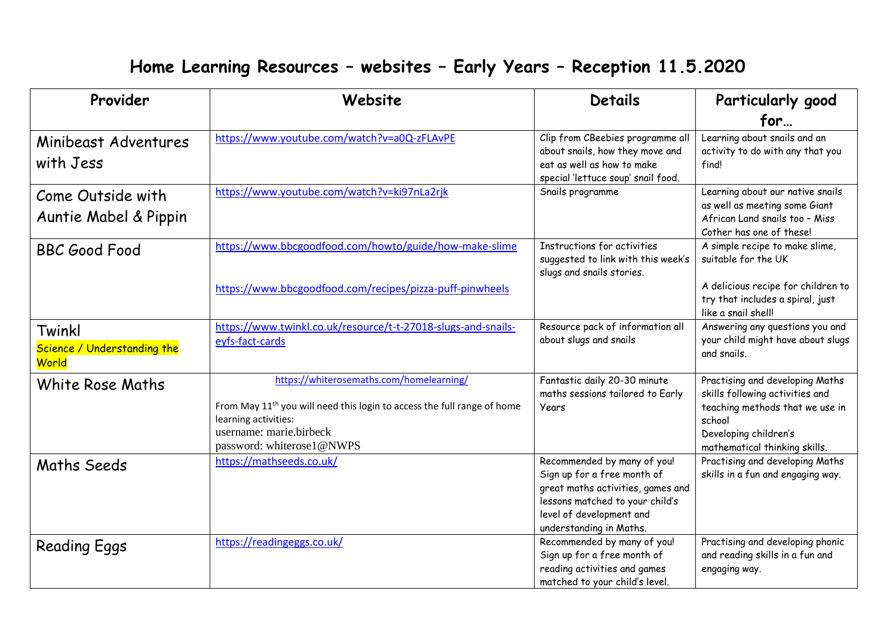## **Home Learning Resources – websites – Early Years – Reception 11.5.2020**

| Provider                                       | Website                                                                                                                                                                                                         | <b>Details</b>                                                                                                                                                                            | Particularly good                                                                                                                                                         |
|------------------------------------------------|-----------------------------------------------------------------------------------------------------------------------------------------------------------------------------------------------------------------|-------------------------------------------------------------------------------------------------------------------------------------------------------------------------------------------|---------------------------------------------------------------------------------------------------------------------------------------------------------------------------|
|                                                |                                                                                                                                                                                                                 |                                                                                                                                                                                           | for                                                                                                                                                                       |
| Minibeast Adventures<br>with Jess              | https://www.youtube.com/watch?v=a0Q-zFLAvPE                                                                                                                                                                     | Clip from CBeebies programme all<br>about snails, how they move and<br>eat as well as how to make<br>special 'lettuce soup' snail food.                                                   | Learning about snails and an<br>activity to do with any that you<br>find!                                                                                                 |
| Come Outside with<br>Auntie Mabel & Pippin     | https://www.youtube.com/watch?v=ki97nLa2rjk                                                                                                                                                                     | Snails programme                                                                                                                                                                          | Learning about our native snails<br>as well as meeting some Giant<br>African Land snails too - Miss<br>Cother has one of these!                                           |
| <b>BBC Good Food</b>                           | https://www.bbcgoodfood.com/howto/guide/how-make-slime                                                                                                                                                          | Instructions for activities<br>suggested to link with this week's<br>slugs and snails stories.                                                                                            | A simple recipe to make slime,<br>suitable for the UK                                                                                                                     |
|                                                | https://www.bbcgoodfood.com/recipes/pizza-puff-pinwheels                                                                                                                                                        |                                                                                                                                                                                           | A delicious recipe for children to<br>try that includes a spiral, just<br>like a snail shell!                                                                             |
| Twinkl<br>Science / Understanding the<br>World | https://www.twinkl.co.uk/resource/t-t-27018-slugs-and-snails-<br>eyfs-fact-cards                                                                                                                                | Resource pack of information all<br>about slugs and snails                                                                                                                                | Answering any questions you and<br>your child might have about slugs<br>and snails.                                                                                       |
| White Rose Maths                               | https://whiterosemaths.com/homelearning/<br>From May 11 <sup>th</sup> you will need this login to access the full range of home<br>learning activities:<br>username: marie.birbeck<br>password: whiterose1@NWPS | Fantastic daily 20-30 minute<br>maths sessions tailored to Early<br>Years                                                                                                                 | Practising and developing Maths<br>skills following activities and<br>teaching methods that we use in<br>school<br>Developing children's<br>mathematical thinking skills. |
| Maths Seeds                                    | https://mathseeds.co.uk/                                                                                                                                                                                        | Recommended by many of you!<br>Sign up for a free month of<br>great maths activities, games and<br>lessons matched to your child's<br>level of development and<br>understanding in Maths. | Practising and developing Maths<br>skills in a fun and engaging way.                                                                                                      |
| <b>Reading Eggs</b>                            | https://readingeggs.co.uk/                                                                                                                                                                                      | Recommended by many of you!<br>Sign up for a free month of<br>reading activities and games<br>matched to your child's level.                                                              | Practising and developing phonic<br>and reading skills in a fun and<br>engaging way.                                                                                      |